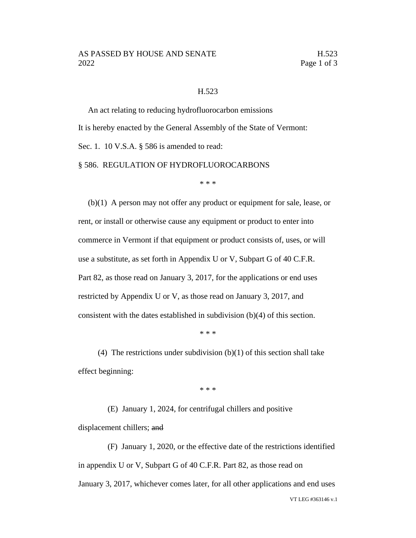## AS PASSED BY HOUSE AND SENATE H.523 2022 **Page 1 of 3**

## H.523

An act relating to reducing hydrofluorocarbon emissions It is hereby enacted by the General Assembly of the State of Vermont: Sec. 1. 10 V.S.A. § 586 is amended to read: § 586. REGULATION OF HYDROFLUOROCARBONS

\* \* \*

(b)(1) A person may not offer any product or equipment for sale, lease, or rent, or install or otherwise cause any equipment or product to enter into commerce in Vermont if that equipment or product consists of, uses, or will use a substitute, as set forth in Appendix U or V, Subpart G of 40 C.F.R. Part 82, as those read on January 3, 2017, for the applications or end uses restricted by Appendix U or V, as those read on January 3, 2017, and consistent with the dates established in subdivision (b)(4) of this section.

\* \* \*

(4) The restrictions under subdivision  $(b)(1)$  of this section shall take effect beginning:

\* \* \*

(E) January 1, 2024, for centrifugal chillers and positive displacement chillers; and

VT LEG #363146 v.1 (F) January 1, 2020, or the effective date of the restrictions identified in appendix U or V, Subpart G of 40 C.F.R. Part 82, as those read on January 3, 2017, whichever comes later, for all other applications and end uses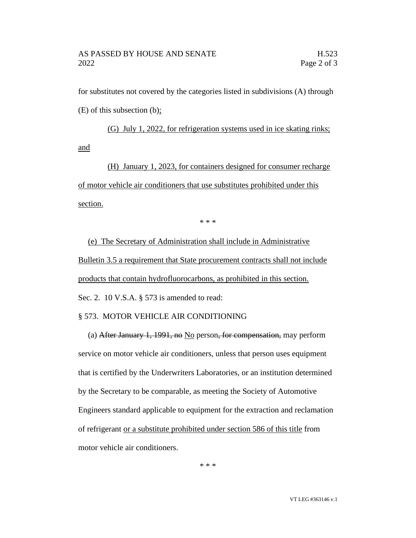for substitutes not covered by the categories listed in subdivisions (A) through (E) of this subsection (b);

(G) July 1, 2022, for refrigeration systems used in ice skating rinks; and

(H) January 1, 2023, for containers designed for consumer recharge of motor vehicle air conditioners that use substitutes prohibited under this section.

\* \* \*

(e) The Secretary of Administration shall include in Administrative Bulletin 3.5 a requirement that State procurement contracts shall not include products that contain hydrofluorocarbons, as prohibited in this section. Sec. 2. 10 V.S.A. § 573 is amended to read:

## § 573. MOTOR VEHICLE AIR CONDITIONING

(a) After January 1, 1991, no  $\overline{No}$  person, for compensation, may perform service on motor vehicle air conditioners, unless that person uses equipment that is certified by the Underwriters Laboratories, or an institution determined by the Secretary to be comparable, as meeting the Society of Automotive Engineers standard applicable to equipment for the extraction and reclamation of refrigerant or a substitute prohibited under section 586 of this title from motor vehicle air conditioners.